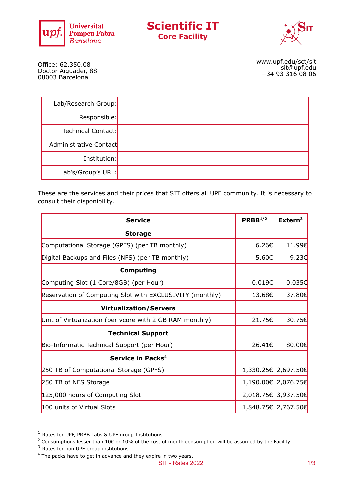



Office: 62.350.08 Doctor Aiguader, 88 08003 Barcelona

[www.upf.edu/sct/sit](http://www.upf.edu/sct/sit) [sit@upf.edu](mailto:sit@upf.edu) +34 93 316 08 06

|  | Lab/Research Group:    |  |
|--|------------------------|--|
|  | Responsible:           |  |
|  | Technical Contact:     |  |
|  | Administrative Contact |  |
|  | Institution:           |  |
|  | Lab's/Group's URL:     |  |

**Scientific IT Core Facility**

These are the services and their prices that SIT offers all UPF community. It is necessary to consult their disponibility.

| <b>Service</b>                                           | PRBB <sup>1/2</sup> | Extern <sup>3</sup> |
|----------------------------------------------------------|---------------------|---------------------|
| <b>Storage</b>                                           |                     |                     |
| Computational Storage (GPFS) (per TB monthly)            | 6.26€               | 11.99€              |
| Digital Backups and Files (NFS) (per TB monthly)         | 5.60€               | 9.23€               |
| <b>Computing</b>                                         |                     |                     |
| Computing Slot (1 Core/8GB) (per Hour)                   | 0.019€              | 0.035€              |
| Reservation of Computing Slot with EXCLUSIVITY (monthly) | 13.68€              | 37.80€              |
| <b>Virtualization/Servers</b>                            |                     |                     |
| Unit of Virtualization (per vcore with 2 GB RAM monthly) | 21.75€              | 30.75€              |
| <b>Technical Support</b>                                 |                     |                     |
| Bio-Informatic Technical Support (per Hour)              | 26.41€              | 80.00€              |
| Service in Packs <sup>4</sup>                            |                     |                     |
| 250 TB of Computational Storage (GPFS)                   |                     | 1,330.25€ 2,697.50€ |
| 250 TB of NFS Storage                                    |                     | 1,190.00€ 2,076.75€ |
| 125,000 hours of Computing Slot                          |                     | 2,018.75€ 3,937.50€ |
| 100 units of Virtual Slots                               |                     | 1,848.75€ 2,767.50€ |

 $1$  Rates for UPF, PRBB Labs & UPF group Institutions.

<sup>&</sup>lt;sup>2</sup> Consumptions lesser than 10€ or 10% of the cost of month consumption will be assumed by the Facility.

<sup>&</sup>lt;sup>3</sup> Rates for non UPF group institutions.

<sup>&</sup>lt;sup>4</sup> The packs have to get in advance and they expire in two years.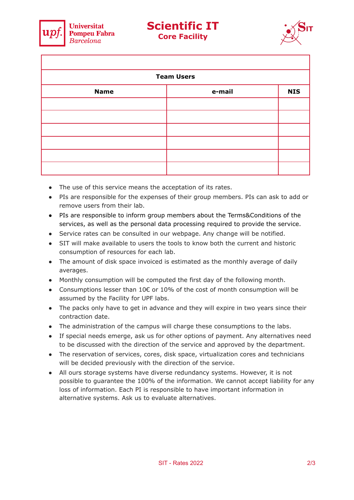



| <b>Team Users</b> |        |            |  |  |
|-------------------|--------|------------|--|--|
| <b>Name</b>       | e-mail | <b>NIS</b> |  |  |
|                   |        |            |  |  |
|                   |        |            |  |  |
|                   |        |            |  |  |
|                   |        |            |  |  |
|                   |        |            |  |  |
|                   |        |            |  |  |

- The use of this service means the acceptation of its rates.
- PIs are responsible for the expenses of their group members. PIs can ask to add or remove users from their lab.
- PIs are responsible to inform group members about the Terms&Conditions of the services, as well as the personal data processing required to provide the service.
- Service rates can be consulted in our webpage. Any change will be notified.
- SIT will make available to users the tools to know both the current and historic consumption of resources for each lab.
- The amount of disk space invoiced is estimated as the monthly average of daily averages.
- Monthly consumption will be computed the first day of the following month.
- Consumptions lesser than 10 $\epsilon$  or 10% of the cost of month consumption will be assumed by the Facility for UPF labs.
- The packs only have to get in advance and they will expire in two years since their contraction date.
- The administration of the campus will charge these consumptions to the labs.
- If special needs emerge, ask us for other options of payment. Any alternatives need to be discussed with the direction of the service and approved by the department.
- The reservation of services, cores, disk space, virtualization cores and technicians will be decided previously with the direction of the service.
- All ours storage systems have diverse redundancy systems. However, it is not possible to guarantee the 100% of the information. We cannot accept liability for any loss of information. Each PI is responsible to have important information in alternative systems. Ask us to evaluate alternatives.